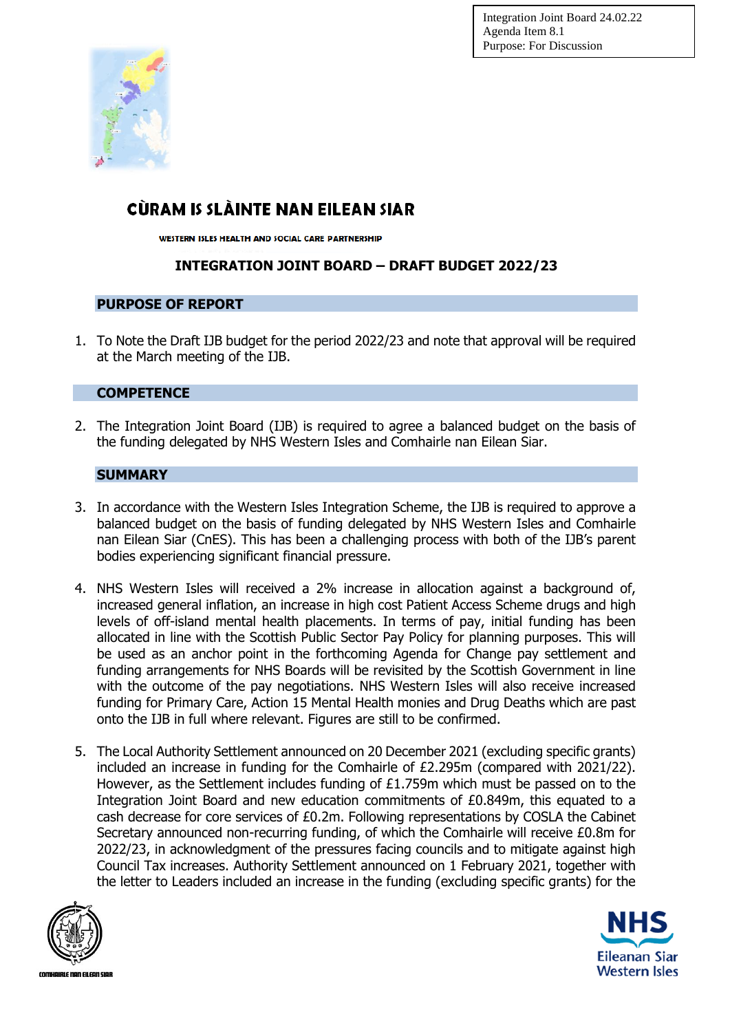

## CÙRAM IS SLÀINTE NAN EILEAN SIAR

WESTERN ISLES HEALTH AND SOCIAL CARE PARTNERSHIP

## **INTEGRATION JOINT BOARD – DRAFT BUDGET 2022/23**

### **PURPOSE OF REPORT**

1. To Note the Draft IJB budget for the period 2022/23 and note that approval will be required at the March meeting of the IJB.

### **COMPETENCE**

2. The Integration Joint Board (IJB) is required to agree a balanced budget on the basis of the funding delegated by NHS Western Isles and Comhairle nan Eilean Siar.

### **SUMMARY**

- 3. In accordance with the Western Isles Integration Scheme, the IJB is required to approve a balanced budget on the basis of funding delegated by NHS Western Isles and Comhairle nan Eilean Siar (CnES). This has been a challenging process with both of the IJB's parent bodies experiencing significant financial pressure.
- 4. NHS Western Isles will received a 2% increase in allocation against a background of, increased general inflation, an increase in high cost Patient Access Scheme drugs and high levels of off-island mental health placements. In terms of pay, initial funding has been allocated in line with the Scottish Public Sector Pay Policy for planning purposes. This will be used as an anchor point in the forthcoming Agenda for Change pay settlement and funding arrangements for NHS Boards will be revisited by the Scottish Government in line with the outcome of the pay negotiations. NHS Western Isles will also receive increased funding for Primary Care, Action 15 Mental Health monies and Drug Deaths which are past onto the IJB in full where relevant. Figures are still to be confirmed.
- 5. The Local Authority Settlement announced on 20 December 2021 (excluding specific grants) included an increase in funding for the Comhairle of £2.295m (compared with 2021/22). However, as the Settlement includes funding of £1.759m which must be passed on to the Integration Joint Board and new education commitments of £0.849m, this equated to a cash decrease for core services of £0.2m. Following representations by COSLA the Cabinet Secretary announced non-recurring funding, of which the Comhairle will receive £0.8m for 2022/23, in acknowledgment of the pressures facing councils and to mitigate against high Council Tax increases. Authority Settlement announced on 1 February 2021, together with the letter to Leaders included an increase in the funding (excluding specific grants) for the



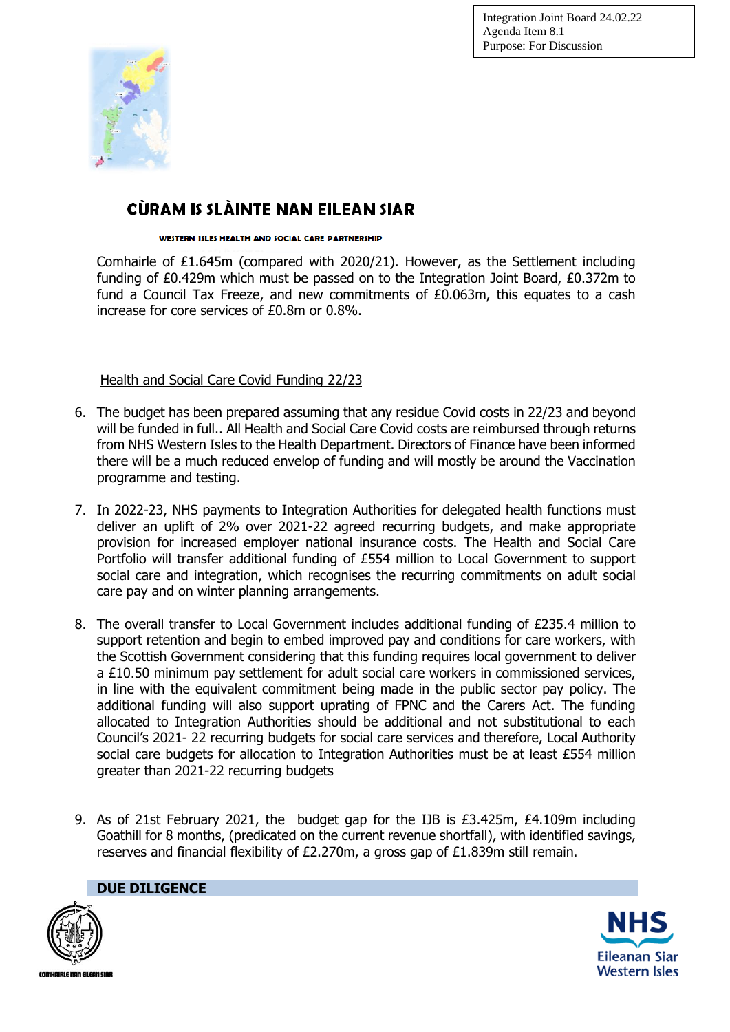

## CÙRAM IS SLÀINTE NAN EILEAN SIAR

#### WESTERN ISLES HEALTH AND SOCIAL CARE PARTNERSHIP

Comhairle of £1.645m (compared with 2020/21). However, as the Settlement including funding of £0.429m which must be passed on to the Integration Joint Board, £0.372m to fund a Council Tax Freeze, and new commitments of £0.063m, this equates to a cash increase for core services of £0.8m or 0.8%.

Health and Social Care Covid Funding 22/23

- 6. The budget has been prepared assuming that any residue Covid costs in 22/23 and beyond will be funded in full.. All Health and Social Care Covid costs are reimbursed through returns from NHS Western Isles to the Health Department. Directors of Finance have been informed there will be a much reduced envelop of funding and will mostly be around the Vaccination programme and testing.
- 7. In 2022-23, NHS payments to Integration Authorities for delegated health functions must deliver an uplift of 2% over 2021-22 agreed recurring budgets, and make appropriate provision for increased employer national insurance costs. The Health and Social Care Portfolio will transfer additional funding of £554 million to Local Government to support social care and integration, which recognises the recurring commitments on adult social care pay and on winter planning arrangements.
- 8. The overall transfer to Local Government includes additional funding of £235.4 million to support retention and begin to embed improved pay and conditions for care workers, with the Scottish Government considering that this funding requires local government to deliver a £10.50 minimum pay settlement for adult social care workers in commissioned services, in line with the equivalent commitment being made in the public sector pay policy. The additional funding will also support uprating of FPNC and the Carers Act. The funding allocated to Integration Authorities should be additional and not substitutional to each Council's 2021- 22 recurring budgets for social care services and therefore, Local Authority social care budgets for allocation to Integration Authorities must be at least £554 million greater than 2021-22 recurring budgets
- 9. As of 21st February 2021, the budget gap for the IJB is £3.425m, £4.109m including Goathill for 8 months, (predicated on the current revenue shortfall), with identified savings, reserves and financial flexibility of £2.270m, a gross gap of £1.839m still remain.



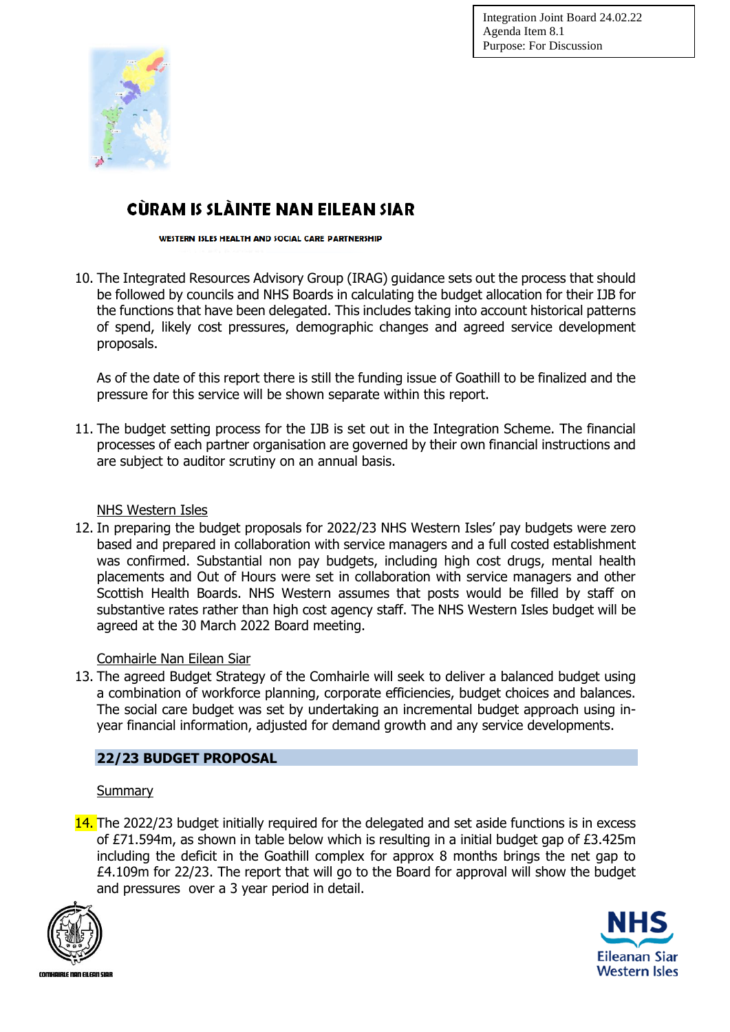

## CÙRAM IS SLÀINTE NAN EILEAN SIAR

WESTERN ISLES HEALTH AND SOCIAL CARE PARTNERSHIP

10. The Integrated Resources Advisory Group (IRAG) guidance sets out the process that should be followed by councils and NHS Boards in calculating the budget allocation for their IJB for the functions that have been delegated. This includes taking into account historical patterns of spend, likely cost pressures, demographic changes and agreed service development proposals.

As of the date of this report there is still the funding issue of Goathill to be finalized and the pressure for this service will be shown separate within this report.

11. The budget setting process for the IJB is set out in the Integration Scheme. The financial processes of each partner organisation are governed by their own financial instructions and are subject to auditor scrutiny on an annual basis.

### NHS Western Isles

12. In preparing the budget proposals for 2022/23 NHS Western Isles' pay budgets were zero based and prepared in collaboration with service managers and a full costed establishment was confirmed. Substantial non pay budgets, including high cost drugs, mental health placements and Out of Hours were set in collaboration with service managers and other Scottish Health Boards. NHS Western assumes that posts would be filled by staff on substantive rates rather than high cost agency staff. The NHS Western Isles budget will be agreed at the 30 March 2022 Board meeting.

### Comhairle Nan Eilean Siar

13. The agreed Budget Strategy of the Comhairle will seek to deliver a balanced budget using a combination of workforce planning, corporate efficiencies, budget choices and balances. The social care budget was set by undertaking an incremental budget approach using inyear financial information, adjusted for demand growth and any service developments.

### **22/23 BUDGET PROPOSAL**

### **Summary**

14. The 2022/23 budget initially required for the delegated and set aside functions is in excess of £71.594m, as shown in table below which is resulting in a initial budget gap of £3.425m including the deficit in the Goathill complex for approx 8 months brings the net gap to £4.109m for 22/23. The report that will go to the Board for approval will show the budget and pressures over a 3 year period in detail.



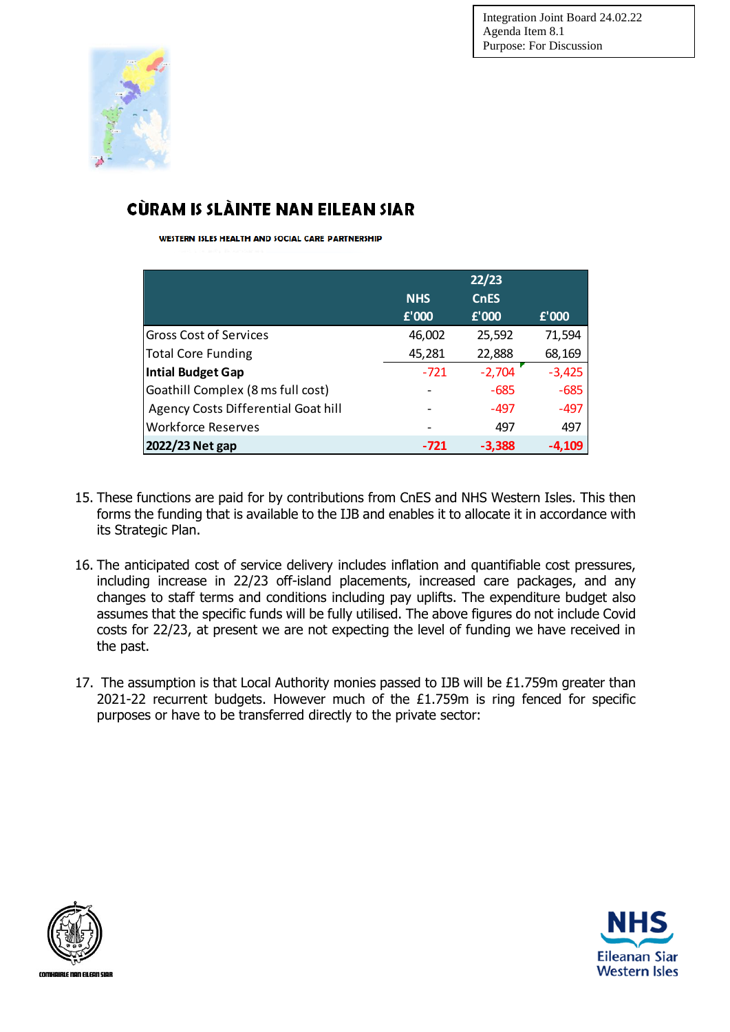

# CÙRAM IS SLÀINTE NAN EILEAN SIAR

WESTERN ISLES HEALTH AND SOCIAL CARE PARTNERSHIP

|                                     | <b>NHS</b><br>£'000 | 22/23<br><b>CnES</b><br>$E'$ 000 | £'000    |
|-------------------------------------|---------------------|----------------------------------|----------|
| <b>Gross Cost of Services</b>       | 46,002              | 25,592                           | 71,594   |
| <b>Total Core Funding</b>           | 45,281              | 22,888                           | 68,169   |
| <b>Intial Budget Gap</b>            | $-721$              | $-2,704$                         | $-3,425$ |
| Goathill Complex (8 ms full cost)   |                     | $-685$                           | $-685$   |
| Agency Costs Differential Goat hill |                     | -497                             | -497     |
| <b>Workforce Reserves</b>           |                     | 497                              | 497      |
| 2022/23 Net gap                     | -721                | $-3,388$                         | -4,109   |

- 15. These functions are paid for by contributions from CnES and NHS Western Isles. This then forms the funding that is available to the IJB and enables it to allocate it in accordance with its Strategic Plan.
- 16. The anticipated cost of service delivery includes inflation and quantifiable cost pressures, including increase in 22/23 off-island placements, increased care packages, and any changes to staff terms and conditions including pay uplifts. The expenditure budget also assumes that the specific funds will be fully utilised. The above figures do not include Covid costs for 22/23, at present we are not expecting the level of funding we have received in the past.
- 17. The assumption is that Local Authority monies passed to IJB will be £1.759m greater than 2021-22 recurrent budgets. However much of the £1.759m is ring fenced for specific purposes or have to be transferred directly to the private sector:



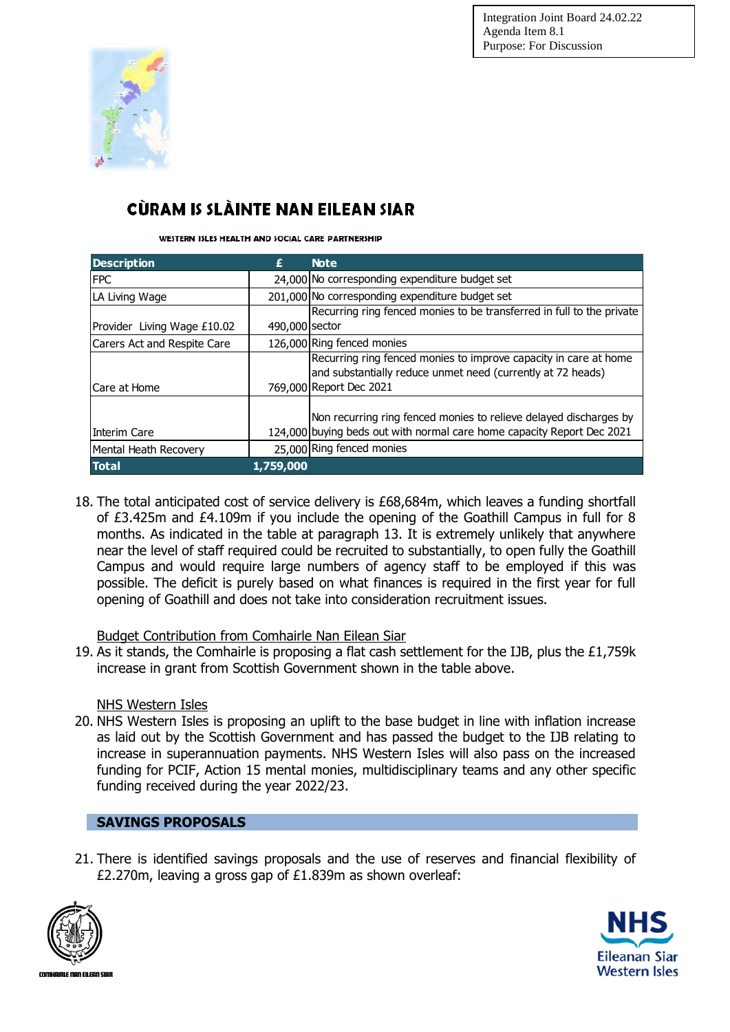

# CÙRAM IS SLÀINTE NAN EILEAN SIAR

WESTERN ISLES HEALTH AND SOCIAL CARE PARTNERSHIP

| <b>Description</b>          | £              | <b>Note</b>                                                            |  |  |
|-----------------------------|----------------|------------------------------------------------------------------------|--|--|
| <b>FPC</b>                  |                | 24,000 No corresponding expenditure budget set                         |  |  |
| LA Living Wage              |                | 201,000 No corresponding expenditure budget set                        |  |  |
|                             |                | Recurring ring fenced monies to be transferred in full to the private  |  |  |
| Provider Living Wage £10.02 | 490,000 sector |                                                                        |  |  |
| Carers Act and Respite Care |                | 126,000 Ring fenced monies                                             |  |  |
|                             |                | Recurring ring fenced monies to improve capacity in care at home       |  |  |
|                             |                | and substantially reduce unmet need (currently at 72 heads)            |  |  |
| Care at Home                |                | 769,000 Report Dec 2021                                                |  |  |
|                             |                | Non recurring ring fenced monies to relieve delayed discharges by      |  |  |
| Interim Care                |                | 124,000 buying beds out with normal care home capacity Report Dec 2021 |  |  |
| Mental Heath Recovery       |                | 25,000 Ring fenced monies                                              |  |  |
| <b>Total</b>                | 1,759,000      |                                                                        |  |  |

18. The total anticipated cost of service delivery is £68,684m, which leaves a funding shortfall of £3.425m and £4.109m if you include the opening of the Goathill Campus in full for 8 months. As indicated in the table at paragraph 13. It is extremely unlikely that anywhere near the level of staff required could be recruited to substantially, to open fully the Goathill Campus and would require large numbers of agency staff to be employed if this was possible. The deficit is purely based on what finances is required in the first year for full opening of Goathill and does not take into consideration recruitment issues.

## Budget Contribution from Comhairle Nan Eilean Siar

19. As it stands, the Comhairle is proposing a flat cash settlement for the IJB, plus the £1,759k increase in grant from Scottish Government shown in the table above.

## NHS Western Isles

20. NHS Western Isles is proposing an uplift to the base budget in line with inflation increase as laid out by the Scottish Government and has passed the budget to the IJB relating to increase in superannuation payments. NHS Western Isles will also pass on the increased funding for PCIF, Action 15 mental monies, multidisciplinary teams and any other specific funding received during the year 2022/23.

## **SAVINGS PROPOSALS**

21. There is identified savings proposals and the use of reserves and financial flexibility of £2.270m, leaving a gross gap of £1.839m as shown overleaf:



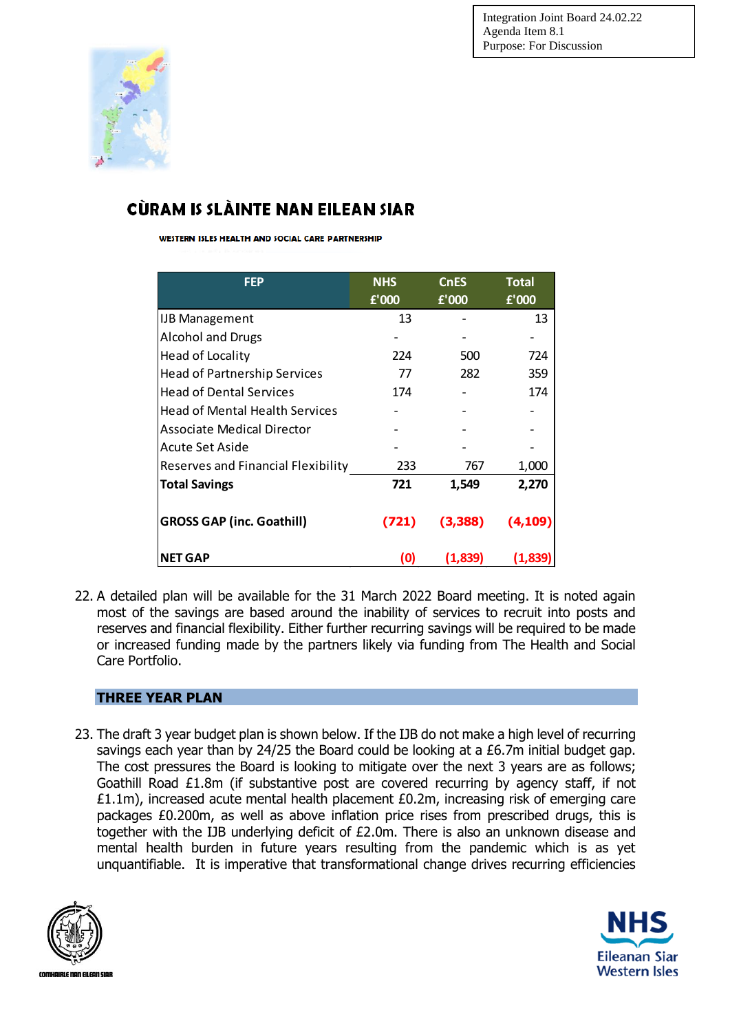

# CÙRAM IS SLÀINTE NAN EILEAN SIAR

WESTERN ISLES HEALTH AND SOCIAL CARE PARTNERSHIP

| <b>FEP</b>                            | <b>NHS</b><br>f'000 | <b>CnES</b><br>£'000 | <b>Total</b><br>£'000 |
|---------------------------------------|---------------------|----------------------|-----------------------|
| <b>IJB Management</b>                 | 13                  |                      | 13                    |
| <b>Alcohol and Drugs</b>              |                     |                      |                       |
| Head of Locality                      | 224                 | 500                  | 724                   |
| <b>Head of Partnership Services</b>   | 77                  | 282                  | 359                   |
| <b>Head of Dental Services</b>        | 174                 |                      | 174                   |
| <b>Head of Mental Health Services</b> |                     |                      |                       |
| <b>Associate Medical Director</b>     |                     |                      |                       |
| Acute Set Aside                       |                     |                      |                       |
| Reserves and Financial Flexibility    | 233                 | 767                  | 1,000                 |
| <b>Total Savings</b>                  | 721                 | 1,549                | 2,270                 |
| <b>GROSS GAP (inc. Goathill)</b>      | (721)               | (3,388)              | (4, 109)              |
| <b>NET GAP</b>                        | (O)                 | (1,839)              | (1,839)               |

22. A detailed plan will be available for the 31 March 2022 Board meeting. It is noted again most of the savings are based around the inability of services to recruit into posts and reserves and financial flexibility. Either further recurring savings will be required to be made or increased funding made by the partners likely via funding from The Health and Social Care Portfolio.

## **THREE YEAR PLAN**

23. The draft 3 year budget plan is shown below. If the IJB do not make a high level of recurring savings each year than by 24/25 the Board could be looking at a £6.7m initial budget gap. The cost pressures the Board is looking to mitigate over the next 3 years are as follows; Goathill Road £1.8m (if substantive post are covered recurring by agency staff, if not £1.1m), increased acute mental health placement £0.2m, increasing risk of emerging care packages £0.200m, as well as above inflation price rises from prescribed drugs, this is together with the IJB underlying deficit of £2.0m. There is also an unknown disease and mental health burden in future years resulting from the pandemic which is as yet unquantifiable. It is imperative that transformational change drives recurring efficiencies



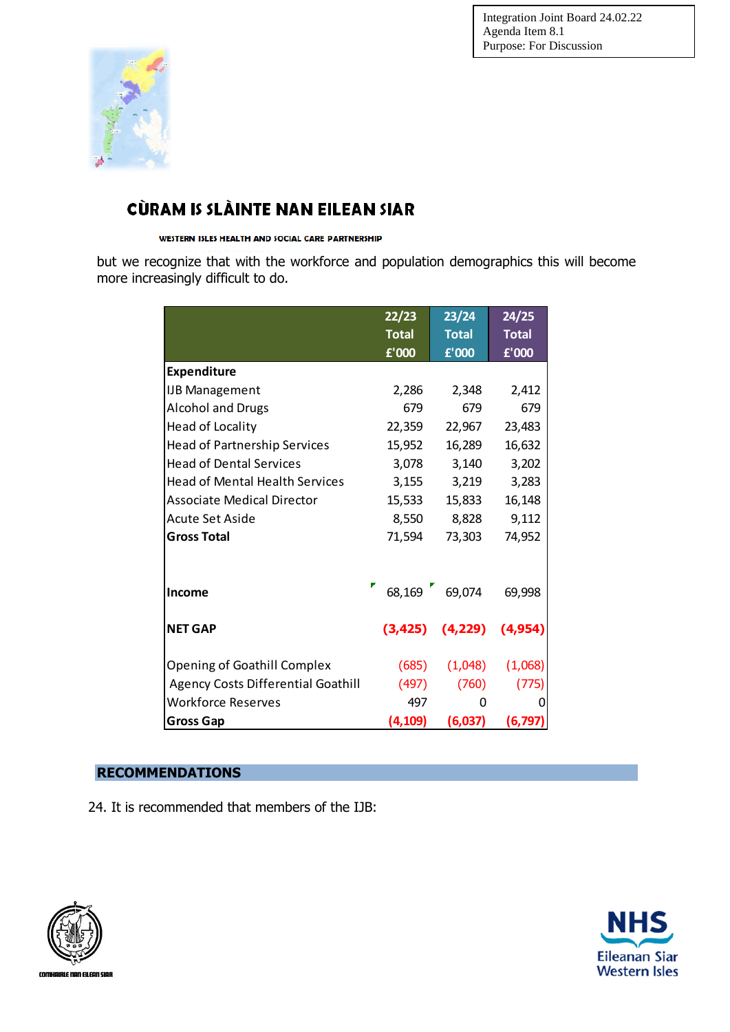

# CÙRAM IS SLÀINTE NAN EILEAN SIAR

#### WESTERN ISLES HEALTH AND SOCIAL CARE PARTNERSHIP

but we recognize that with the workforce and population demographics this will become more increasingly difficult to do.

|                                           | 22/23        | 23/24         | 24/25        |
|-------------------------------------------|--------------|---------------|--------------|
|                                           | <b>Total</b> | <b>Total</b>  | <b>Total</b> |
|                                           | £'000        | £'000         | £'000        |
| <b>Expenditure</b>                        |              |               |              |
| <b>IJB Management</b>                     | 2,286        | 2,348         | 2,412        |
| <b>Alcohol and Drugs</b>                  | 679          | 679           | 679          |
| Head of Locality                          | 22,359       | 22,967        | 23,483       |
| <b>Head of Partnership Services</b>       | 15,952       | 16,289        | 16,632       |
| <b>Head of Dental Services</b>            | 3,078        | 3,140         | 3,202        |
| <b>Head of Mental Health Services</b>     | 3,155        | 3,219         | 3,283        |
| <b>Associate Medical Director</b>         | 15,533       | 15,833        | 16,148       |
| Acute Set Aside                           | 8,550        | 8,828         | 9,112        |
| <b>Gross Total</b>                        | 71,594       | 73,303        | 74,952       |
|                                           |              |               |              |
|                                           |              |               |              |
| <b>Income</b>                             |              | 68,169 69,074 | 69,998       |
| <b>NET GAP</b>                            | (3, 425)     | (4, 229)      | (4, 954)     |
|                                           |              |               |              |
| <b>Opening of Goathill Complex</b>        | (685)        | (1,048)       | (1,068)      |
| <b>Agency Costs Differential Goathill</b> | (497)        | (760)         | (775)        |
| <b>Workforce Reserves</b>                 | 497          | 0             | 0            |
| <b>Gross Gap</b>                          | (4, 109)     | (6,037)       | (6, 797)     |

## **RECOMMENDATIONS**

24. It is recommended that members of the IJB:



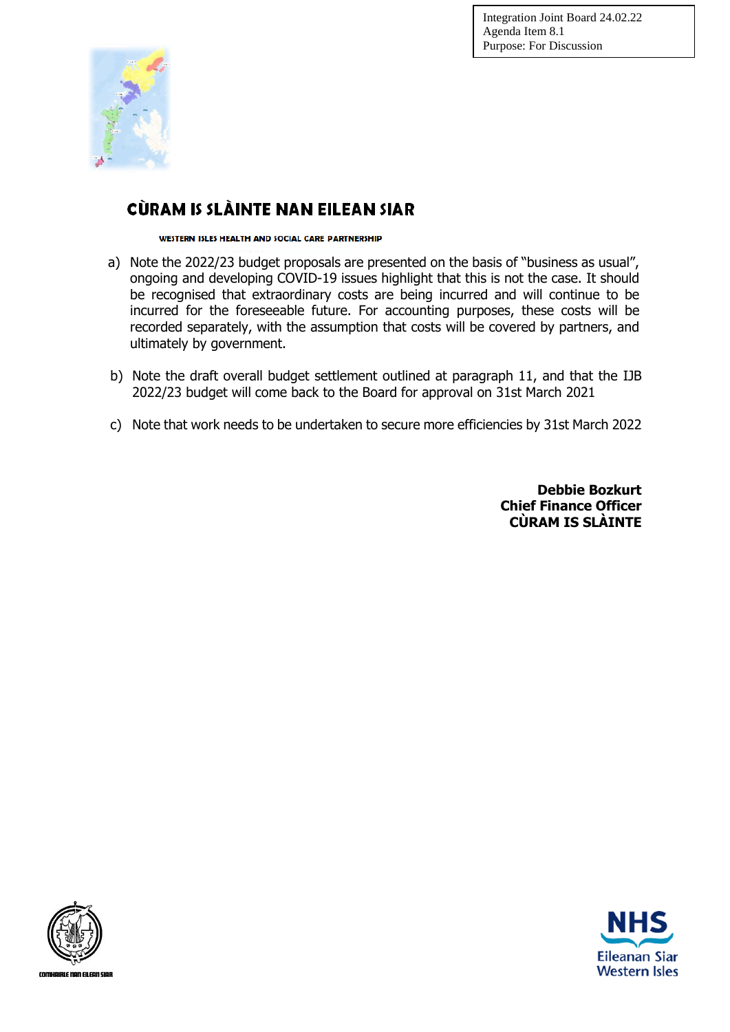

# CÙRAM IS SLÀINTE NAN EILEAN SIAR

WESTERN ISLES HEALTH AND SOCIAL CARE PARTNERSHIP

- a) Note the 2022/23 budget proposals are presented on the basis of "business as usual", ongoing and developing COVID-19 issues highlight that this is not the case. It should be recognised that extraordinary costs are being incurred and will continue to be incurred for the foreseeable future. For accounting purposes, these costs will be recorded separately, with the assumption that costs will be covered by partners, and ultimately by government.
- b) Note the draft overall budget settlement outlined at paragraph 11, and that the IJB 2022/23 budget will come back to the Board for approval on 31st March 2021
- c) Note that work needs to be undertaken to secure more efficiencies by 31st March 2022

**Debbie Bozkurt Chief Finance Officer CÙRAM IS SLÀINTE**